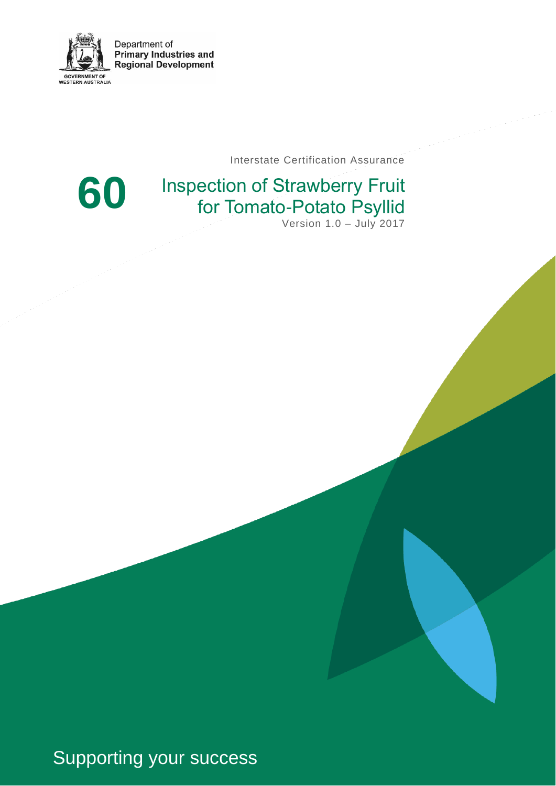

Interstate Certification Assurance



# Inspection of Strawberry Fruit for Tomato-Potato Psyllid

Version 1.0 – July 2017

Supporting your success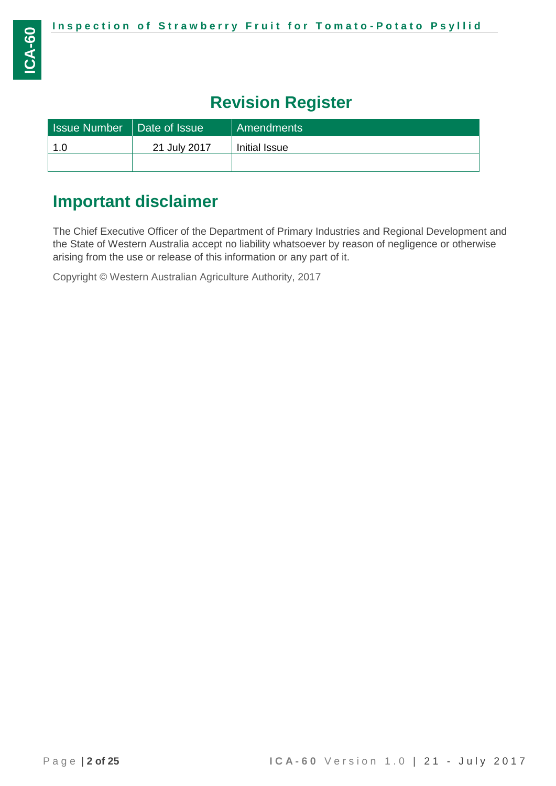# **Revision Register**

| Issue Number   Date of Issue |              | Amendments    |
|------------------------------|--------------|---------------|
| 1.0                          | 21 July 2017 | Initial Issue |
|                              |              |               |

## **Important disclaimer**

The Chief Executive Officer of the Department of Primary Industries and Regional Development and the State of Western Australia accept no liability whatsoever by reason of negligence or otherwise arising from the use or release of this information or any part of it.

Copyright © Western Australian Agriculture Authority, 2017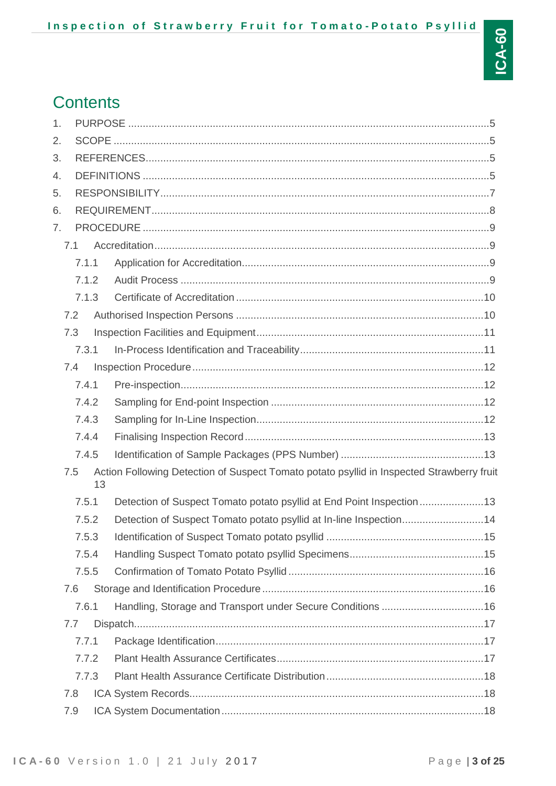## **Contents**

| 1. |       |    |                                                                                           |  |
|----|-------|----|-------------------------------------------------------------------------------------------|--|
| 2. |       |    |                                                                                           |  |
| 3. |       |    |                                                                                           |  |
| 4. |       |    |                                                                                           |  |
| 5. |       |    |                                                                                           |  |
| 6. |       |    |                                                                                           |  |
| 7. |       |    |                                                                                           |  |
|    | 7.1   |    |                                                                                           |  |
|    | 7.1.1 |    |                                                                                           |  |
|    | 7.1.2 |    |                                                                                           |  |
|    | 7.1.3 |    |                                                                                           |  |
|    | 7.2   |    |                                                                                           |  |
|    | 7.3   |    |                                                                                           |  |
|    | 7.3.1 |    |                                                                                           |  |
|    | 7.4   |    |                                                                                           |  |
|    | 7.4.1 |    |                                                                                           |  |
|    | 7.4.2 |    |                                                                                           |  |
|    | 7.4.3 |    |                                                                                           |  |
|    | 7.4.4 |    |                                                                                           |  |
|    | 7.4.5 |    |                                                                                           |  |
|    | 7.5   | 13 | Action Following Detection of Suspect Tomato potato psyllid in Inspected Strawberry fruit |  |
|    | 7.5.1 |    |                                                                                           |  |
|    | 7.5.2 |    | Detection of Suspect Tomato potato psyllid at In-line Inspection14                        |  |
|    | 7.5.3 |    |                                                                                           |  |
|    | 7.5.4 |    |                                                                                           |  |
|    | 7.5.5 |    |                                                                                           |  |
|    | 7.6   |    |                                                                                           |  |
|    | 7.6.1 |    |                                                                                           |  |
|    | 7.7   |    |                                                                                           |  |
|    | 7.7.1 |    |                                                                                           |  |
|    | 7.7.2 |    |                                                                                           |  |
|    | 7.7.3 |    |                                                                                           |  |
|    | 7.8   |    |                                                                                           |  |
|    | 7.9   |    |                                                                                           |  |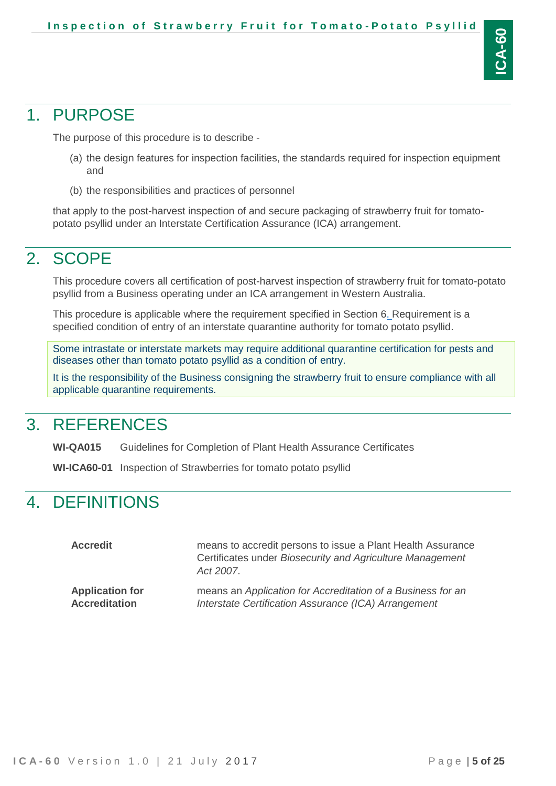## <span id="page-4-0"></span>1. PURPOSE

The purpose of this procedure is to describe -

- (a) the design features for inspection facilities, the standards required for inspection equipment and
- (b) the responsibilities and practices of personnel

that apply to the post-harvest inspection of and secure packaging of strawberry fruit for tomatopotato psyllid under an Interstate Certification Assurance (ICA) arrangement.

# <span id="page-4-1"></span>2. SCOPE

This procedure covers all certification of post-harvest inspection of strawberry fruit for tomato-potato psyllid from a Business operating under an ICA arrangement in Western Australia.

This procedure is applicable where the requirement specified in Section 6. Requirement is a specified condition of entry of an interstate quarantine authority for tomato potato psyllid.

Some intrastate or interstate markets may require additional quarantine certification for pests and diseases other than tomato potato psyllid as a condition of entry.

It is the responsibility of the Business consigning the strawberry fruit to ensure compliance with all applicable quarantine requirements.

# <span id="page-4-2"></span>3. REFERENCES

**WI-QA015** Guidelines for Completion of Plant Health Assurance Certificates

<span id="page-4-3"></span>**WI-ICA60-01** Inspection of Strawberries for tomato potato psyllid

# 4. DEFINITIONS

| <b>Accredit</b>        | means to accredit persons to issue a Plant Health Assurance<br>Certificates under Biosecurity and Agriculture Management<br>Act 2007. |
|------------------------|---------------------------------------------------------------------------------------------------------------------------------------|
| <b>Application for</b> | means an Application for Accreditation of a Business for an                                                                           |
| <b>Accreditation</b>   | Interstate Certification Assurance (ICA) Arrangement                                                                                  |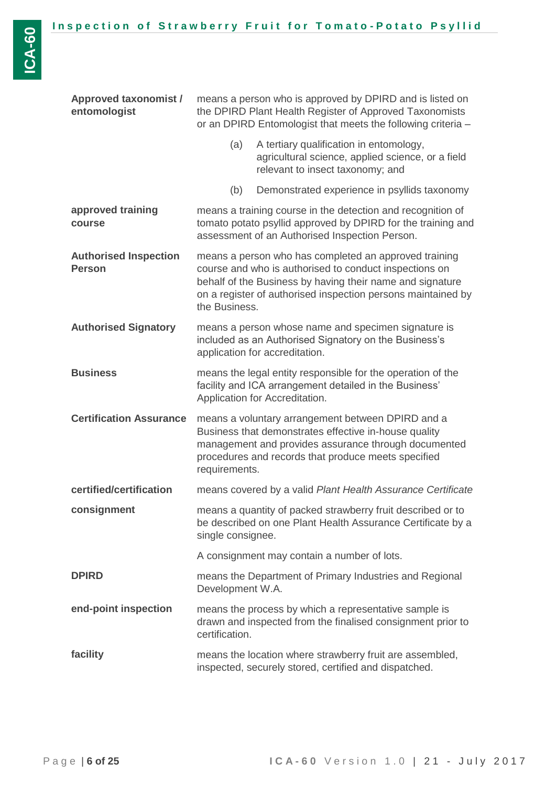| <b>Approved taxonomist /</b><br>entomologist  | means a person who is approved by DPIRD and is listed on<br>the DPIRD Plant Health Register of Approved Taxonomists<br>or an DPIRD Entomologist that meets the following criteria -                                                        |                                                                                                                                                                                                                                              |  |
|-----------------------------------------------|--------------------------------------------------------------------------------------------------------------------------------------------------------------------------------------------------------------------------------------------|----------------------------------------------------------------------------------------------------------------------------------------------------------------------------------------------------------------------------------------------|--|
|                                               | (a)                                                                                                                                                                                                                                        | A tertiary qualification in entomology,<br>agricultural science, applied science, or a field<br>relevant to insect taxonomy; and                                                                                                             |  |
|                                               | (b)                                                                                                                                                                                                                                        | Demonstrated experience in psyllids taxonomy                                                                                                                                                                                                 |  |
| approved training<br>course                   |                                                                                                                                                                                                                                            | means a training course in the detection and recognition of<br>tomato potato psyllid approved by DPIRD for the training and<br>assessment of an Authorised Inspection Person.                                                                |  |
| <b>Authorised Inspection</b><br><b>Person</b> | the Business.                                                                                                                                                                                                                              | means a person who has completed an approved training<br>course and who is authorised to conduct inspections on<br>behalf of the Business by having their name and signature<br>on a register of authorised inspection persons maintained by |  |
| <b>Authorised Signatory</b>                   | means a person whose name and specimen signature is<br>included as an Authorised Signatory on the Business's<br>application for accreditation.                                                                                             |                                                                                                                                                                                                                                              |  |
| <b>Business</b>                               | means the legal entity responsible for the operation of the<br>facility and ICA arrangement detailed in the Business'<br>Application for Accreditation.                                                                                    |                                                                                                                                                                                                                                              |  |
| <b>Certification Assurance</b>                | means a voluntary arrangement between DPIRD and a<br>Business that demonstrates effective in-house quality<br>management and provides assurance through documented<br>procedures and records that produce meets specified<br>requirements. |                                                                                                                                                                                                                                              |  |
| certified/certification                       | means covered by a valid Plant Health Assurance Certificate                                                                                                                                                                                |                                                                                                                                                                                                                                              |  |
| consignment                                   | single consignee.                                                                                                                                                                                                                          | means a quantity of packed strawberry fruit described or to<br>be described on one Plant Health Assurance Certificate by a                                                                                                                   |  |
|                                               |                                                                                                                                                                                                                                            | A consignment may contain a number of lots.                                                                                                                                                                                                  |  |
| <b>DPIRD</b>                                  | means the Department of Primary Industries and Regional<br>Development W.A.                                                                                                                                                                |                                                                                                                                                                                                                                              |  |
| end-point inspection                          | means the process by which a representative sample is<br>drawn and inspected from the finalised consignment prior to<br>certification.                                                                                                     |                                                                                                                                                                                                                                              |  |
| facility                                      |                                                                                                                                                                                                                                            | means the location where strawberry fruit are assembled,<br>inspected, securely stored, certified and dispatched.                                                                                                                            |  |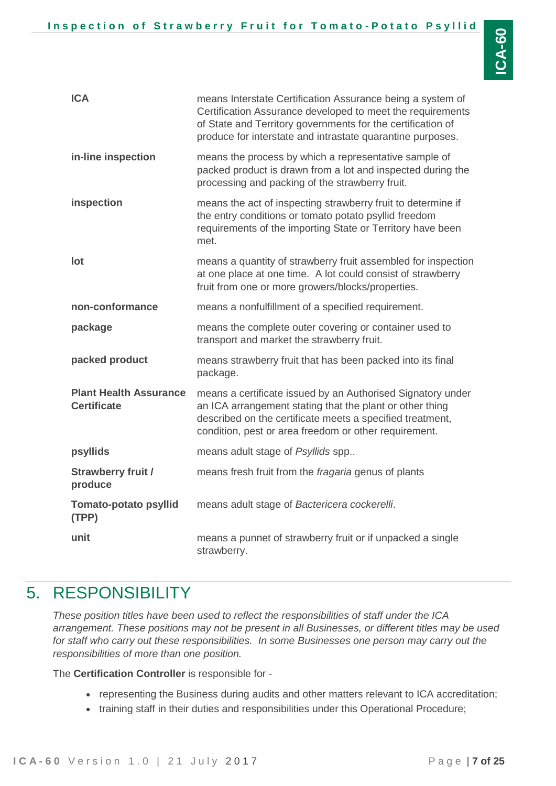| <b>ICA</b>                                          | means Interstate Certification Assurance being a system of<br>Certification Assurance developed to meet the requirements<br>of State and Territory governments for the certification of<br>produce for interstate and intrastate quarantine purposes. |  |
|-----------------------------------------------------|-------------------------------------------------------------------------------------------------------------------------------------------------------------------------------------------------------------------------------------------------------|--|
| in-line inspection                                  | means the process by which a representative sample of<br>packed product is drawn from a lot and inspected during the<br>processing and packing of the strawberry fruit.                                                                               |  |
| inspection                                          | means the act of inspecting strawberry fruit to determine if<br>the entry conditions or tomato potato psyllid freedom<br>requirements of the importing State or Territory have been<br>met.                                                           |  |
| lot                                                 | means a quantity of strawberry fruit assembled for inspection<br>at one place at one time. A lot could consist of strawberry<br>fruit from one or more growers/blocks/properties.                                                                     |  |
| non-conformance                                     | means a nonfulfillment of a specified requirement.                                                                                                                                                                                                    |  |
| package                                             | means the complete outer covering or container used to<br>transport and market the strawberry fruit.                                                                                                                                                  |  |
| packed product                                      | means strawberry fruit that has been packed into its final<br>package.                                                                                                                                                                                |  |
| <b>Plant Health Assurance</b><br><b>Certificate</b> | means a certificate issued by an Authorised Signatory under<br>an ICA arrangement stating that the plant or other thing<br>described on the certificate meets a specified treatment,<br>condition, pest or area freedom or other requirement.         |  |
| psyllids                                            | means adult stage of Psyllids spp                                                                                                                                                                                                                     |  |
| <b>Strawberry fruit /</b><br>produce                | means fresh fruit from the fragaria genus of plants                                                                                                                                                                                                   |  |
| <b>Tomato-potato psyllid</b><br>(TPP)               | means adult stage of Bactericera cockerelli.                                                                                                                                                                                                          |  |
| unit                                                | means a punnet of strawberry fruit or if unpacked a single<br>strawberry.                                                                                                                                                                             |  |

## <span id="page-6-0"></span>5. RESPONSIBILITY

*These position titles have been used to reflect the responsibilities of staff under the ICA arrangement. These positions may not be present in all Businesses, or different titles may be used for staff who carry out these responsibilities. In some Businesses one person may carry out the responsibilities of more than one position.*

The **Certification Controller** is responsible for -

- representing the Business during audits and other matters relevant to ICA accreditation;
- training staff in their duties and responsibilities under this Operational Procedure;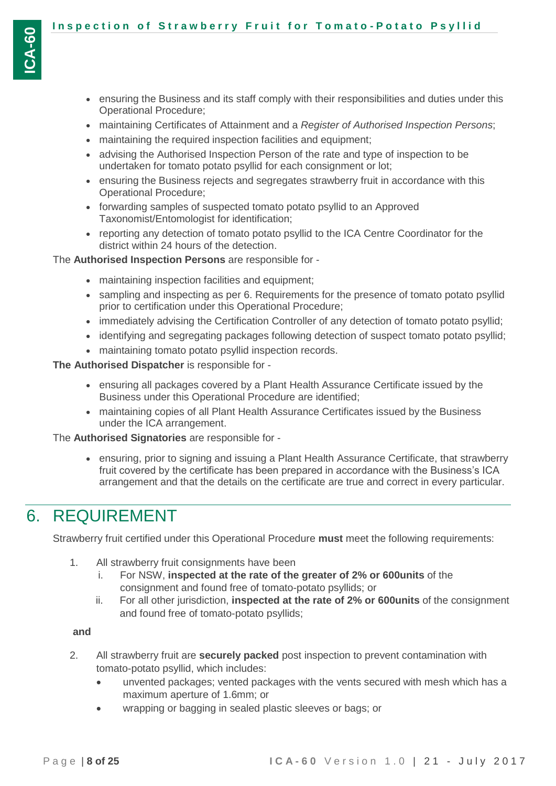- ensuring the Business and its staff comply with their responsibilities and duties under this Operational Procedure;
- maintaining Certificates of Attainment and a *Register of Authorised Inspection Persons*;
- maintaining the required inspection facilities and equipment;
- advising the Authorised Inspection Person of the rate and type of inspection to be undertaken for tomato potato psyllid for each consignment or lot;
- ensuring the Business rejects and segregates strawberry fruit in accordance with this Operational Procedure;
- forwarding samples of suspected tomato potato psyllid to an Approved Taxonomist/Entomologist for identification;
- reporting any detection of tomato potato psyllid to the ICA Centre Coordinator for the district within 24 hours of the detection.

#### The **Authorised Inspection Persons** are responsible for -

- maintaining inspection facilities and equipment;
- sampling and inspecting as per 6. Requirements for the presence of tomato potato psyllid prior to certification under this Operational Procedure;
- immediately advising the Certification Controller of any detection of tomato potato psyllid;
- identifying and segregating packages following detection of suspect tomato potato psyllid;
- maintaining tomato potato psyllid inspection records.

#### **The Authorised Dispatcher** is responsible for -

- ensuring all packages covered by a Plant Health Assurance Certificate issued by the Business under this Operational Procedure are identified;
- maintaining copies of all Plant Health Assurance Certificates issued by the Business under the ICA arrangement.

#### The **Authorised Signatories** are responsible for -

 ensuring, prior to signing and issuing a Plant Health Assurance Certificate, that strawberry fruit covered by the certificate has been prepared in accordance with the Business's ICA arrangement and that the details on the certificate are true and correct in every particular.

## <span id="page-7-0"></span>6. REQUIREMENT

Strawberry fruit certified under this Operational Procedure **must** meet the following requirements:

- 1. All strawberry fruit consignments have been
	- i. For NSW, **inspected at the rate of the greater of 2% or 600units** of the consignment and found free of tomato-potato psyllids; or
	- ii. For all other jurisdiction, **inspected at the rate of 2% or 600units** of the consignment and found free of tomato-potato psyllids;

#### **and**

- 2. All strawberry fruit are **securely packed** post inspection to prevent contamination with tomato-potato psyllid, which includes:
	- unvented packages; vented packages with the vents secured with mesh which has a maximum aperture of 1.6mm; or
	- wrapping or bagging in sealed plastic sleeves or bags; or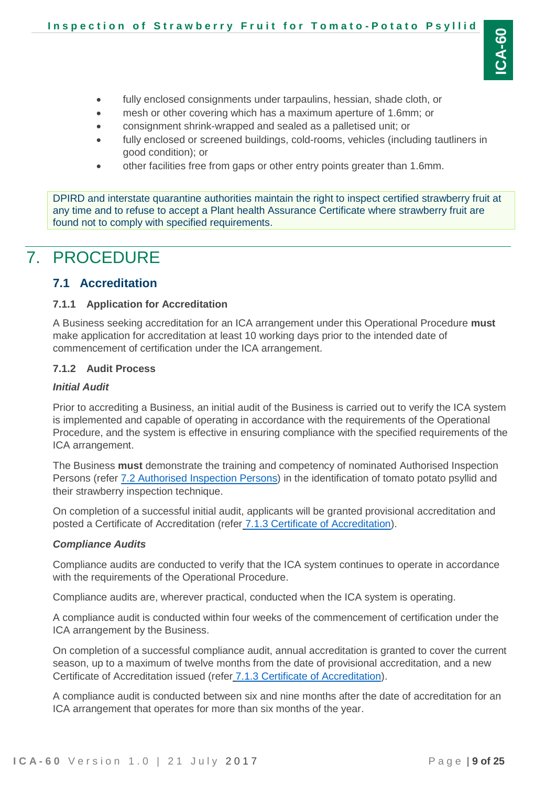- fully enclosed consignments under tarpaulins, hessian, shade cloth, or
- mesh or other covering which has a maximum aperture of 1.6mm; or
- consignment shrink-wrapped and sealed as a palletised unit; or
- fully enclosed or screened buildings, cold-rooms, vehicles (including tautliners in good condition); or
- other facilities free from gaps or other entry points greater than 1.6mm.

DPIRD and interstate quarantine authorities maintain the right to inspect certified strawberry fruit at any time and to refuse to accept a Plant health Assurance Certificate where strawberry fruit are found not to comply with specified requirements.

# <span id="page-8-0"></span>7. PROCEDURE

### <span id="page-8-1"></span>**7.1 Accreditation**

#### <span id="page-8-2"></span>**7.1.1 Application for Accreditation**

A Business seeking accreditation for an ICA arrangement under this Operational Procedure **must** make application for accreditation at least 10 working days prior to the intended date of commencement of certification under the ICA arrangement.

#### <span id="page-8-3"></span>**7.1.2 Audit Process**

#### *Initial Audit*

Prior to accrediting a Business, an initial audit of the Business is carried out to verify the ICA system is implemented and capable of operating in accordance with the requirements of the Operational Procedure, and the system is effective in ensuring compliance with the specified requirements of the ICA arrangement.

The Business **must** demonstrate the training and competency of nominated Authorised Inspection Persons (refer [7.2 Authorised Inspection Persons\)](#page-9-1) in the identification of tomato potato psyllid and their strawberry inspection technique.

On completion of a successful initial audit, applicants will be granted provisional accreditation and posted a Certificate of Accreditation (refer [7.1.3 Certificate of Accreditation\)](#page-9-0).

#### *Compliance Audits*

Compliance audits are conducted to verify that the ICA system continues to operate in accordance with the requirements of the Operational Procedure.

Compliance audits are, wherever practical, conducted when the ICA system is operating.

A compliance audit is conducted within four weeks of the commencement of certification under the ICA arrangement by the Business.

On completion of a successful compliance audit, annual accreditation is granted to cover the current season, up to a maximum of twelve months from the date of provisional accreditation, and a new Certificate of Accreditation issued (refer [7.1.3 Certificate of Accreditation\)](#page-9-0).

A compliance audit is conducted between six and nine months after the date of accreditation for an ICA arrangement that operates for more than six months of the year.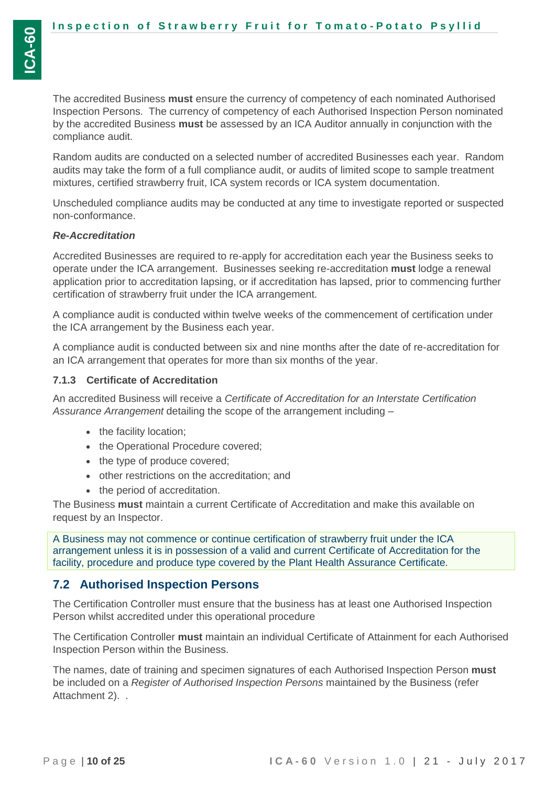The accredited Business **must** ensure the currency of competency of each nominated Authorised Inspection Persons. The currency of competency of each Authorised Inspection Person nominated by the accredited Business **must** be assessed by an ICA Auditor annually in conjunction with the compliance audit.

Random audits are conducted on a selected number of accredited Businesses each year. Random audits may take the form of a full compliance audit, or audits of limited scope to sample treatment mixtures, certified strawberry fruit, ICA system records or ICA system documentation.

Unscheduled compliance audits may be conducted at any time to investigate reported or suspected non-conformance.

#### *Re-Accreditation*

Accredited Businesses are required to re-apply for accreditation each year the Business seeks to operate under the ICA arrangement. Businesses seeking re-accreditation **must** lodge a renewal application prior to accreditation lapsing, or if accreditation has lapsed, prior to commencing further certification of strawberry fruit under the ICA arrangement.

A compliance audit is conducted within twelve weeks of the commencement of certification under the ICA arrangement by the Business each year.

A compliance audit is conducted between six and nine months after the date of re-accreditation for an ICA arrangement that operates for more than six months of the year.

### <span id="page-9-0"></span>**7.1.3 Certificate of Accreditation**

An accredited Business will receive a *Certificate of Accreditation for an Interstate Certification Assurance Arrangement* detailing the scope of the arrangement including –

- the facility location;
- the Operational Procedure covered;
- the type of produce covered;
- other restrictions on the accreditation; and
- the period of accreditation.

The Business **must** maintain a current Certificate of Accreditation and make this available on request by an Inspector.

A Business may not commence or continue certification of strawberry fruit under the ICA arrangement unless it is in possession of a valid and current Certificate of Accreditation for the facility, procedure and produce type covered by the Plant Health Assurance Certificate.

### <span id="page-9-1"></span>**7.2 Authorised Inspection Persons**

The Certification Controller must ensure that the business has at least one Authorised Inspection Person whilst accredited under this operational procedure

The Certification Controller **must** maintain an individual Certificate of Attainment for each Authorised Inspection Person within the Business.

The names, date of training and specimen signatures of each Authorised Inspection Person **must** be included on a *Register of Authorised Inspection Persons* maintained by the Business (refer Attachment 2). .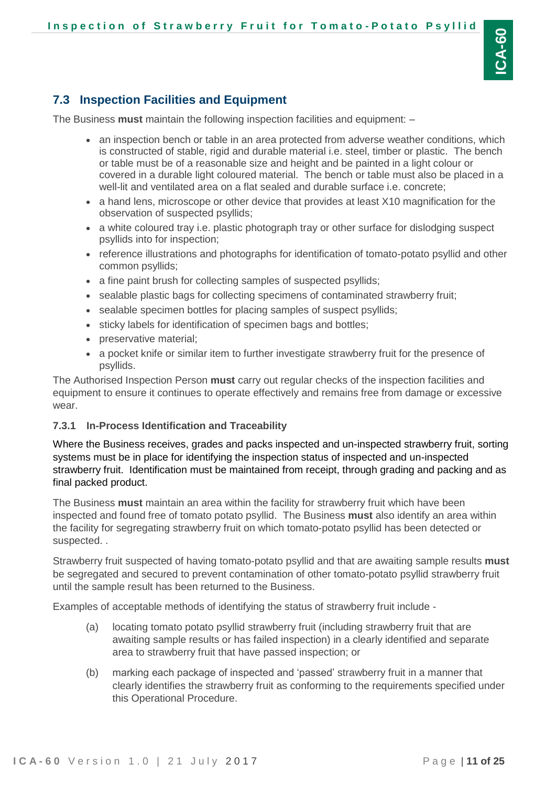### <span id="page-10-0"></span>**7.3 Inspection Facilities and Equipment**

The Business **must** maintain the following inspection facilities and equipment: –

- an inspection bench or table in an area protected from adverse weather conditions, which is constructed of stable, rigid and durable material i.e. steel, timber or plastic. The bench or table must be of a reasonable size and height and be painted in a light colour or covered in a durable light coloured material. The bench or table must also be placed in a well-lit and ventilated area on a flat sealed and durable surface i.e. concrete;
- a hand lens, microscope or other device that provides at least X10 magnification for the observation of suspected psyllids;
- a white coloured tray i.e. plastic photograph tray or other surface for dislodging suspect psyllids into for inspection;
- reference illustrations and photographs for identification of tomato-potato psyllid and other common psyllids;
- a fine paint brush for collecting samples of suspected psyllids;
- sealable plastic bags for collecting specimens of contaminated strawberry fruit;
- sealable specimen bottles for placing samples of suspect psyllids;
- sticky labels for identification of specimen bags and bottles;
- preservative material;
- a pocket knife or similar item to further investigate strawberry fruit for the presence of psyllids.

The Authorised Inspection Person **must** carry out regular checks of the inspection facilities and equipment to ensure it continues to operate effectively and remains free from damage or excessive wear.

#### <span id="page-10-1"></span>**7.3.1 In-Process Identification and Traceability**

Where the Business receives, grades and packs inspected and un-inspected strawberry fruit, sorting systems must be in place for identifying the inspection status of inspected and un-inspected strawberry fruit. Identification must be maintained from receipt, through grading and packing and as final packed product.

The Business **must** maintain an area within the facility for strawberry fruit which have been inspected and found free of tomato potato psyllid. The Business **must** also identify an area within the facility for segregating strawberry fruit on which tomato-potato psyllid has been detected or suspected. .

Strawberry fruit suspected of having tomato-potato psyllid and that are awaiting sample results **must** be segregated and secured to prevent contamination of other tomato-potato psyllid strawberry fruit until the sample result has been returned to the Business.

Examples of acceptable methods of identifying the status of strawberry fruit include -

- (a) locating tomato potato psyllid strawberry fruit (including strawberry fruit that are awaiting sample results or has failed inspection) in a clearly identified and separate area to strawberry fruit that have passed inspection; or
- (b) marking each package of inspected and 'passed' strawberry fruit in a manner that clearly identifies the strawberry fruit as conforming to the requirements specified under this Operational Procedure.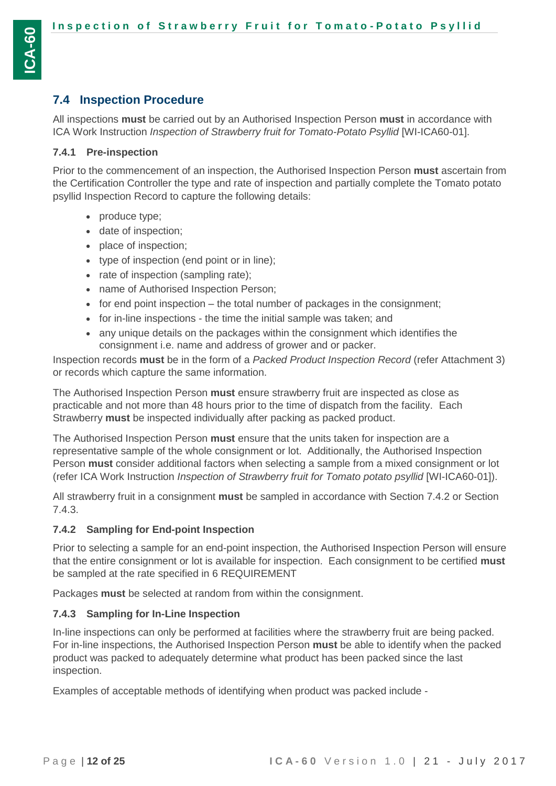### <span id="page-11-0"></span>**7.4 Inspection Procedure**

All inspections **must** be carried out by an Authorised Inspection Person **must** in accordance with ICA Work Instruction *Inspection of Strawberry fruit for Tomato-Potato Psyllid* [WI-ICA60-01].

#### <span id="page-11-1"></span>**7.4.1 Pre-inspection**

Prior to the commencement of an inspection, the Authorised Inspection Person **must** ascertain from the Certification Controller the type and rate of inspection and partially complete the Tomato potato psyllid Inspection Record to capture the following details:

- produce type;
- date of inspection;
- place of inspection;
- type of inspection (end point or in line);
- rate of inspection (sampling rate);
- name of Authorised Inspection Person;
- $\bullet$  for end point inspection the total number of packages in the consignment;
- for in-line inspections the time the initial sample was taken; and
- any unique details on the packages within the consignment which identifies the consignment i.e. name and address of grower and or packer.

Inspection records **must** be in the form of a *Packed Product Inspection Record* (refer Attachment 3) or records which capture the same information.

The Authorised Inspection Person **must** ensure strawberry fruit are inspected as close as practicable and not more than 48 hours prior to the time of dispatch from the facility. Each Strawberry **must** be inspected individually after packing as packed product.

The Authorised Inspection Person **must** ensure that the units taken for inspection are a representative sample of the whole consignment or lot. Additionally, the Authorised Inspection Person **must** consider additional factors when selecting a sample from a mixed consignment or lot (refer ICA Work Instruction *Inspection of Strawberry fruit for Tomato potato psyllid* [WI-ICA60-01]).

All strawberry fruit in a consignment **must** be sampled in accordance with Section [7.4.2](#page-11-2) or Section [7.4.3.](#page-11-3)

### <span id="page-11-2"></span>**7.4.2 Sampling for End-point Inspection**

Prior to selecting a sample for an end-point inspection, the Authorised Inspection Person will ensure that the entire consignment or lot is available for inspection. Each consignment to be certified **must** be sampled at the rate specified in [6](#page-7-0) [REQUIREMENT](#page-7-0)

Packages **must** be selected at random from within the consignment.

#### <span id="page-11-3"></span>**7.4.3 Sampling for In-Line Inspection**

In-line inspections can only be performed at facilities where the strawberry fruit are being packed. For in-line inspections, the Authorised Inspection Person **must** be able to identify when the packed product was packed to adequately determine what product has been packed since the last inspection.

Examples of acceptable methods of identifying when product was packed include -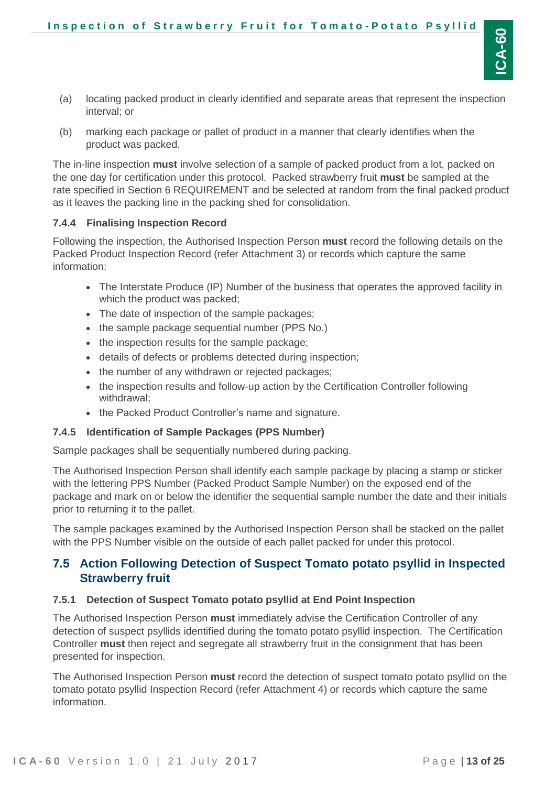- (a) locating packed product in clearly identified and separate areas that represent the inspection interval; or
- (b) marking each package or pallet of product in a manner that clearly identifies when the product was packed.

The in-line inspection **must** involve selection of a sample of packed product from a lot, packed on the one day for certification under this protocol. Packed strawberry fruit **must** be sampled at the rate specified in Section [6](#page-7-0) [REQUIREMENT](#page-7-0) and be selected at random from the final packed product as it leaves the packing line in the packing shed for consolidation.

### <span id="page-12-0"></span>**7.4.4 Finalising Inspection Record**

Following the inspection, the Authorised Inspection Person **must** record the following details on the Packed Product Inspection Record (refer Attachment 3) or records which capture the same information:

- The Interstate Produce (IP) Number of the business that operates the approved facility in which the product was packed;
- The date of inspection of the sample packages;
- the sample package sequential number (PPS No.)
- the inspection results for the sample package;
- details of defects or problems detected during inspection;
- the number of any withdrawn or rejected packages;
- the inspection results and follow-up action by the Certification Controller following withdrawal;
- the Packed Product Controller's name and signature.

#### <span id="page-12-1"></span>**7.4.5 Identification of Sample Packages (PPS Number)**

Sample packages shall be sequentially numbered during packing.

The Authorised Inspection Person shall identify each sample package by placing a stamp or sticker with the lettering PPS Number (Packed Product Sample Number) on the exposed end of the package and mark on or below the identifier the sequential sample number the date and their initials prior to returning it to the pallet.

The sample packages examined by the Authorised Inspection Person shall be stacked on the pallet with the PPS Number visible on the outside of each pallet packed for under this protocol.

### <span id="page-12-2"></span>**7.5 Action Following Detection of Suspect Tomato potato psyllid in Inspected Strawberry fruit**

#### <span id="page-12-3"></span>**7.5.1 Detection of Suspect Tomato potato psyllid at End Point Inspection**

The Authorised Inspection Person **must** immediately advise the Certification Controller of any detection of suspect psyllids identified during the tomato potato psyllid inspection. The Certification Controller **must** then reject and segregate all strawberry fruit in the consignment that has been presented for inspection.

The Authorised Inspection Person **must** record the detection of suspect tomato potato psyllid on the tomato potato psyllid Inspection Record (refer Attachment 4) or records which capture the same information.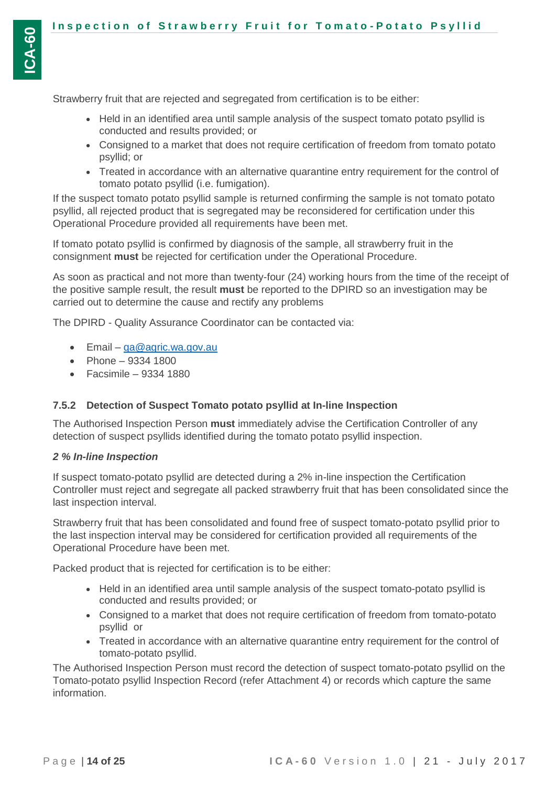Strawberry fruit that are rejected and segregated from certification is to be either:

- Held in an identified area until sample analysis of the suspect tomato potato psyllid is conducted and results provided; or
- Consigned to a market that does not require certification of freedom from tomato potato psyllid; or
- Treated in accordance with an alternative quarantine entry requirement for the control of tomato potato psyllid (i.e. fumigation).

If the suspect tomato potato psyllid sample is returned confirming the sample is not tomato potato psyllid, all rejected product that is segregated may be reconsidered for certification under this Operational Procedure provided all requirements have been met.

If tomato potato psyllid is confirmed by diagnosis of the sample, all strawberry fruit in the consignment **must** be rejected for certification under the Operational Procedure.

As soon as practical and not more than twenty-four (24) working hours from the time of the receipt of the positive sample result, the result **must** be reported to the DPIRD so an investigation may be carried out to determine the cause and rectify any problems

The DPIRD - Quality Assurance Coordinator can be contacted via:

- Email ga@agric.wa.gov.au
- Phone  $9334 1800$
- Facsimile 9334 1880

### <span id="page-13-0"></span>**7.5.2 Detection of Suspect Tomato potato psyllid at In-line Inspection**

The Authorised Inspection Person **must** immediately advise the Certification Controller of any detection of suspect psyllids identified during the tomato potato psyllid inspection.

### *2 % In-line Inspection*

If suspect tomato-potato psyllid are detected during a 2% in-line inspection the Certification Controller must reject and segregate all packed strawberry fruit that has been consolidated since the last inspection interval.

Strawberry fruit that has been consolidated and found free of suspect tomato-potato psyllid prior to the last inspection interval may be considered for certification provided all requirements of the Operational Procedure have been met.

Packed product that is rejected for certification is to be either:

- Held in an identified area until sample analysis of the suspect tomato-potato psyllid is conducted and results provided; or
- Consigned to a market that does not require certification of freedom from tomato-potato psyllid or
- Treated in accordance with an alternative quarantine entry requirement for the control of tomato-potato psyllid.

The Authorised Inspection Person must record the detection of suspect tomato-potato psyllid on the Tomato-potato psyllid Inspection Record (refer Attachment 4) or records which capture the same information.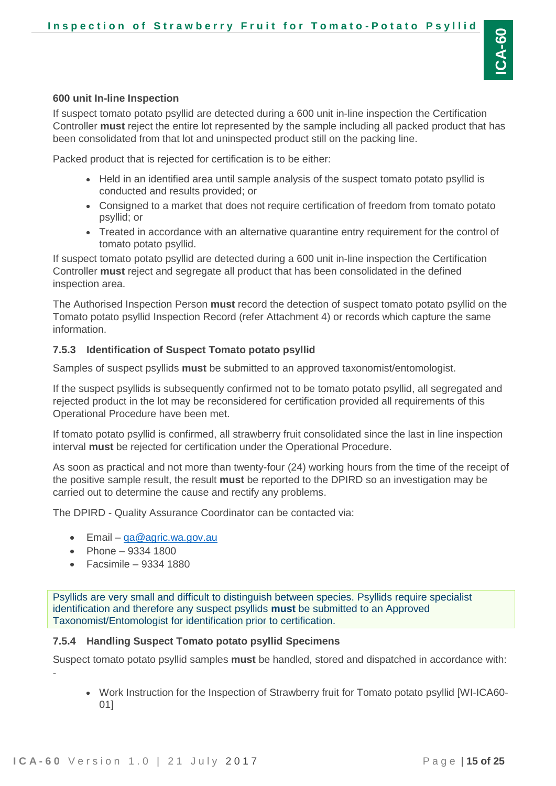#### **600 unit In-line Inspection**

If suspect tomato potato psyllid are detected during a 600 unit in-line inspection the Certification Controller **must** reject the entire lot represented by the sample including all packed product that has been consolidated from that lot and uninspected product still on the packing line.

Packed product that is rejected for certification is to be either:

- Held in an identified area until sample analysis of the suspect tomato potato psyllid is conducted and results provided; or
- Consigned to a market that does not require certification of freedom from tomato potato psyllid; or
- Treated in accordance with an alternative quarantine entry requirement for the control of tomato potato psyllid.

If suspect tomato potato psyllid are detected during a 600 unit in-line inspection the Certification Controller **must** reject and segregate all product that has been consolidated in the defined inspection area.

The Authorised Inspection Person **must** record the detection of suspect tomato potato psyllid on the Tomato potato psyllid Inspection Record (refer Attachment 4) or records which capture the same information.

#### <span id="page-14-0"></span>**7.5.3 Identification of Suspect Tomato potato psyllid**

Samples of suspect psyllids **must** be submitted to an approved taxonomist/entomologist.

If the suspect psyllids is subsequently confirmed not to be tomato potato psyllid, all segregated and rejected product in the lot may be reconsidered for certification provided all requirements of this Operational Procedure have been met.

If tomato potato psyllid is confirmed, all strawberry fruit consolidated since the last in line inspection interval **must** be rejected for certification under the Operational Procedure.

As soon as practical and not more than twenty-four (24) working hours from the time of the receipt of the positive sample result, the result **must** be reported to the DPIRD so an investigation may be carried out to determine the cause and rectify any problems.

The DPIRD - Quality Assurance Coordinator can be contacted via:

- Email [qa@agric.wa.gov.au](mailto:qa@agric.wa.gov.au)
- Phone  $9334 1800$
- $\epsilon$  Facsimile 9334 1880

Psyllids are very small and difficult to distinguish between species. Psyllids require specialist identification and therefore any suspect psyllids **must** be submitted to an Approved Taxonomist/Entomologist for identification prior to certification.

#### <span id="page-14-1"></span>**7.5.4 Handling Suspect Tomato potato psyllid Specimens**

Suspect tomato potato psyllid samples **must** be handled, stored and dispatched in accordance with: -

 Work Instruction for the Inspection of Strawberry fruit for Tomato potato psyllid [WI-ICA60- 01]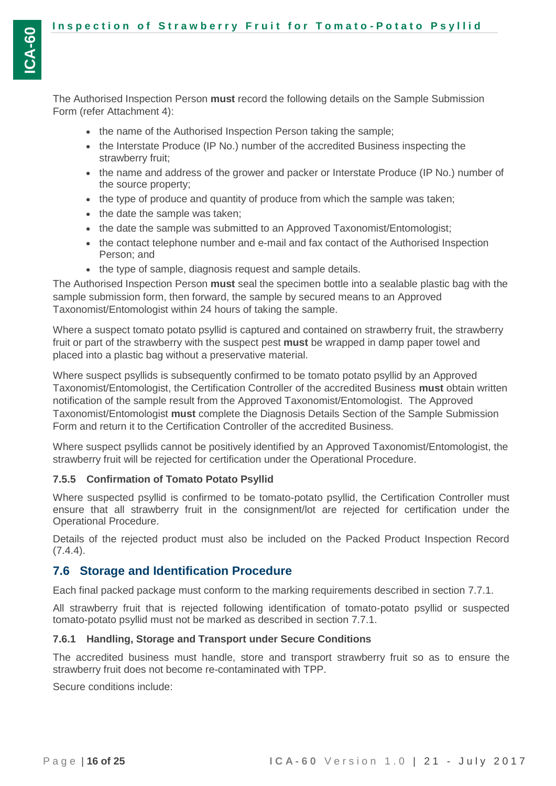The Authorised Inspection Person **must** record the following details on the Sample Submission Form (refer Attachment 4):

- the name of the Authorised Inspection Person taking the sample;
- the Interstate Produce (IP No.) number of the accredited Business inspecting the strawberry fruit;
- the name and address of the grower and packer or Interstate Produce (IP No.) number of the source property;
- the type of produce and quantity of produce from which the sample was taken;
- the date the sample was taken;
- the date the sample was submitted to an Approved Taxonomist/Entomologist;
- the contact telephone number and e-mail and fax contact of the Authorised Inspection Person; and
- the type of sample, diagnosis request and sample details.

The Authorised Inspection Person **must** seal the specimen bottle into a sealable plastic bag with the sample submission form, then forward, the sample by secured means to an Approved Taxonomist/Entomologist within 24 hours of taking the sample.

Where a suspect tomato potato psyllid is captured and contained on strawberry fruit, the strawberry fruit or part of the strawberry with the suspect pest **must** be wrapped in damp paper towel and placed into a plastic bag without a preservative material.

Where suspect psyllids is subsequently confirmed to be tomato potato psyllid by an Approved Taxonomist/Entomologist, the Certification Controller of the accredited Business **must** obtain written notification of the sample result from the Approved Taxonomist/Entomologist. The Approved Taxonomist/Entomologist **must** complete the Diagnosis Details Section of the Sample Submission Form and return it to the Certification Controller of the accredited Business.

Where suspect psyllids cannot be positively identified by an Approved Taxonomist/Entomologist, the strawberry fruit will be rejected for certification under the Operational Procedure.

### <span id="page-15-0"></span>**7.5.5 Confirmation of Tomato Potato Psyllid**

Where suspected psyllid is confirmed to be tomato-potato psyllid, the Certification Controller must ensure that all strawberry fruit in the consignment/lot are rejected for certification under the Operational Procedure.

Details of the rejected product must also be included on the Packed Product Inspection Record  $(7.4.4)$ .

### <span id="page-15-1"></span>**7.6 Storage and Identification Procedure**

Each final packed package must conform to the marking requirements described in section [7.7.1.](#page-16-1)

All strawberry fruit that is rejected following identification of tomato-potato psyllid or suspected tomato-potato psyllid must not be marked as described in section [7.7.1.](#page-16-1)

#### <span id="page-15-2"></span>**7.6.1 Handling, Storage and Transport under Secure Conditions**

The accredited business must handle, store and transport strawberry fruit so as to ensure the strawberry fruit does not become re-contaminated with TPP.

Secure conditions include: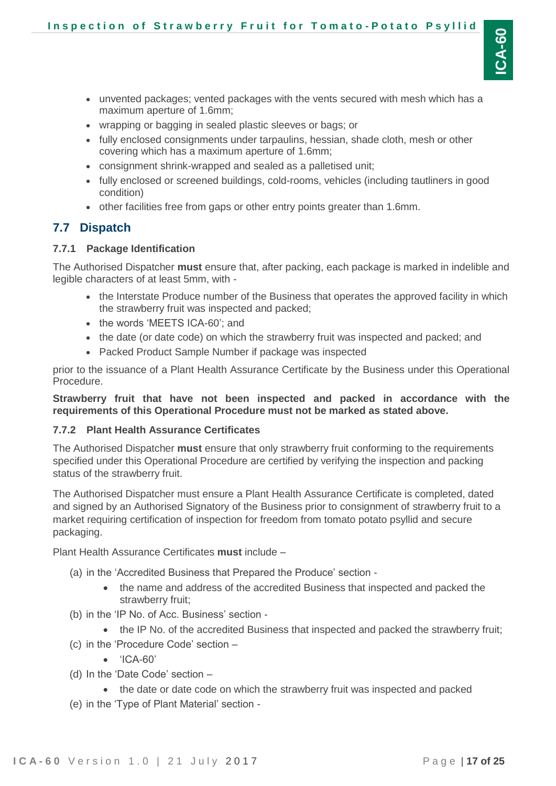- unvented packages; vented packages with the vents secured with mesh which has a maximum aperture of 1.6mm;
- wrapping or bagging in sealed plastic sleeves or bags; or
- fully enclosed consignments under tarpaulins, hessian, shade cloth, mesh or other covering which has a maximum aperture of 1.6mm;
- consignment shrink-wrapped and sealed as a palletised unit;
- fully enclosed or screened buildings, cold-rooms, vehicles (including tautliners in good condition)
- other facilities free from gaps or other entry points greater than 1.6mm.

### <span id="page-16-0"></span>**7.7 Dispatch**

#### <span id="page-16-1"></span>**7.7.1 Package Identification**

The Authorised Dispatcher **must** ensure that, after packing, each package is marked in indelible and legible characters of at least 5mm, with -

- the Interstate Produce number of the Business that operates the approved facility in which the strawberry fruit was inspected and packed;
- the words 'MEETS ICA-60': and
- the date (or date code) on which the strawberry fruit was inspected and packed; and
- Packed Product Sample Number if package was inspected

prior to the issuance of a Plant Health Assurance Certificate by the Business under this Operational Procedure.

**Strawberry fruit that have not been inspected and packed in accordance with the requirements of this Operational Procedure must not be marked as stated above.**

#### <span id="page-16-2"></span>**7.7.2 Plant Health Assurance Certificates**

The Authorised Dispatcher **must** ensure that only strawberry fruit conforming to the requirements specified under this Operational Procedure are certified by verifying the inspection and packing status of the strawberry fruit.

The Authorised Dispatcher must ensure a Plant Health Assurance Certificate is completed, dated and signed by an Authorised Signatory of the Business prior to consignment of strawberry fruit to a market requiring certification of inspection for freedom from tomato potato psyllid and secure packaging.

Plant Health Assurance Certificates **must** include –

- (a) in the 'Accredited Business that Prepared the Produce' section
	- the name and address of the accredited Business that inspected and packed the strawberry fruit;
- (b) in the 'IP No. of Acc. Business' section
	- the IP No. of the accredited Business that inspected and packed the strawberry fruit;
- (c) in the 'Procedure Code' section
	- 'ICA-60'
- (d) In the 'Date Code' section
	- the date or date code on which the strawberry fruit was inspected and packed
- (e) in the 'Type of Plant Material' section -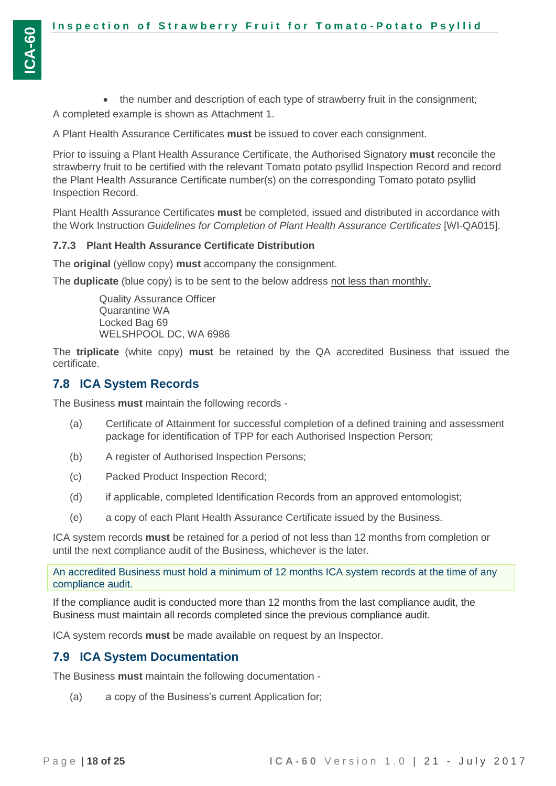• the number and description of each type of strawberry fruit in the consignment; A completed example is shown as Attachment 1.

A Plant Health Assurance Certificates **must** be issued to cover each consignment.

Prior to issuing a Plant Health Assurance Certificate, the Authorised Signatory **must** reconcile the strawberry fruit to be certified with the relevant Tomato potato psyllid Inspection Record and record the Plant Health Assurance Certificate number(s) on the corresponding Tomato potato psyllid Inspection Record.

Plant Health Assurance Certificates **must** be completed, issued and distributed in accordance with the Work Instruction *Guidelines for Completion of Plant Health Assurance Certificates* [WI-QA015].

#### <span id="page-17-0"></span>**7.7.3 Plant Health Assurance Certificate Distribution**

The **original** (yellow copy) **must** accompany the consignment.

The **duplicate** (blue copy) is to be sent to the below address not less than monthly.

Quality Assurance Officer Quarantine WA Locked Bag 69 WELSHPOOL DC, WA 6986

The **triplicate** (white copy) **must** be retained by the QA accredited Business that issued the certificate.

### <span id="page-17-1"></span>**7.8 ICA System Records**

The Business **must** maintain the following records -

- (a) Certificate of Attainment for successful completion of a defined training and assessment package for identification of TPP for each Authorised Inspection Person;
- (b) A register of Authorised Inspection Persons;
- (c) Packed Product Inspection Record;
- (d) if applicable, completed Identification Records from an approved entomologist;
- (e) a copy of each Plant Health Assurance Certificate issued by the Business.

ICA system records **must** be retained for a period of not less than 12 months from completion or until the next compliance audit of the Business, whichever is the later.

An accredited Business must hold a minimum of 12 months ICA system records at the time of any compliance audit.

If the compliance audit is conducted more than 12 months from the last compliance audit, the Business must maintain all records completed since the previous compliance audit.

ICA system records **must** be made available on request by an Inspector.

#### <span id="page-17-2"></span>**7.9 ICA System Documentation**

The Business **must** maintain the following documentation -

(a) a copy of the Business's current Application for;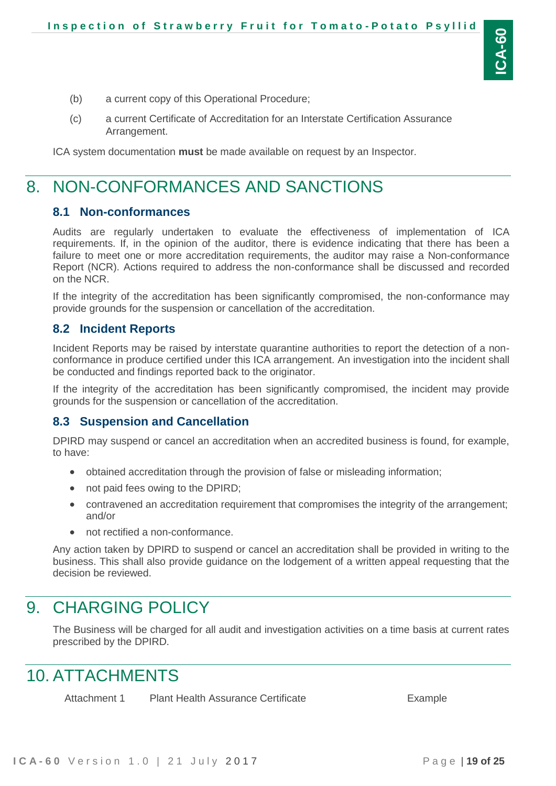- (b) a current copy of this Operational Procedure;
- (c) a current Certificate of Accreditation for an Interstate Certification Assurance Arrangement.

<span id="page-18-0"></span>ICA system documentation **must** be made available on request by an Inspector.

## 8. NON-CONFORMANCES AND SANCTIONS

#### <span id="page-18-1"></span>**8.1 Non-conformances**

Audits are regularly undertaken to evaluate the effectiveness of implementation of ICA requirements. If, in the opinion of the auditor, there is evidence indicating that there has been a failure to meet one or more accreditation requirements, the auditor may raise a Non-conformance Report (NCR). Actions required to address the non-conformance shall be discussed and recorded on the NCR.

If the integrity of the accreditation has been significantly compromised, the non-conformance may provide grounds for the suspension or cancellation of the accreditation.

### <span id="page-18-2"></span>**8.2 Incident Reports**

Incident Reports may be raised by interstate quarantine authorities to report the detection of a nonconformance in produce certified under this ICA arrangement. An investigation into the incident shall be conducted and findings reported back to the originator.

If the integrity of the accreditation has been significantly compromised, the incident may provide grounds for the suspension or cancellation of the accreditation.

### <span id="page-18-3"></span>**8.3 Suspension and Cancellation**

DPIRD may suspend or cancel an accreditation when an accredited business is found, for example, to have:

- obtained accreditation through the provision of false or misleading information;
- not paid fees owing to the DPIRD:
- contravened an accreditation requirement that compromises the integrity of the arrangement; and/or
- not rectified a non-conformance.

Any action taken by DPIRD to suspend or cancel an accreditation shall be provided in writing to the business. This shall also provide guidance on the lodgement of a written appeal requesting that the decision be reviewed.

### <span id="page-18-4"></span>9. CHARGING POLICY

The Business will be charged for all audit and investigation activities on a time basis at current rates prescribed by the DPIRD.

## <span id="page-18-5"></span>10. ATTACHMENTS

Attachment 1 Plant Health Assurance Certificate **Example**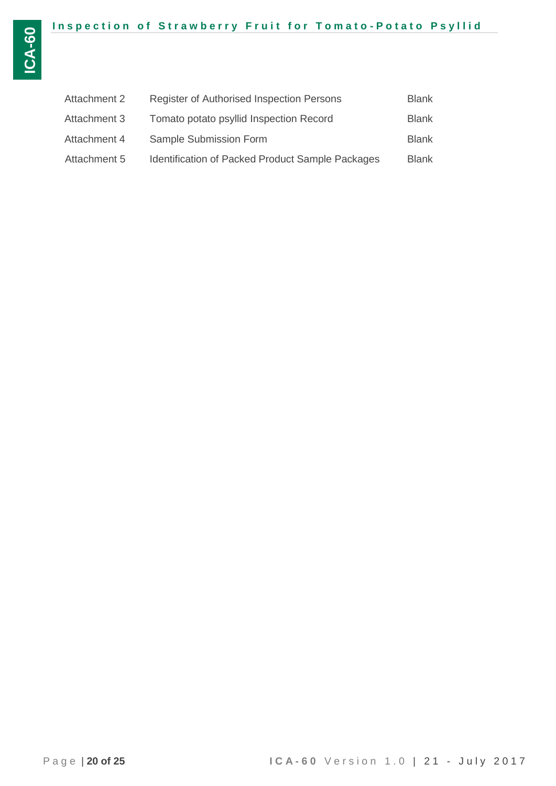| Attachment 2 | <b>Register of Authorised Inspection Persons</b>        | <b>Blank</b> |
|--------------|---------------------------------------------------------|--------------|
| Attachment 3 | Tomato potato psyllid Inspection Record                 | Blank        |
| Attachment 4 | Sample Submission Form                                  | Blank        |
| Attachment 5 | <b>Identification of Packed Product Sample Packages</b> | Blank        |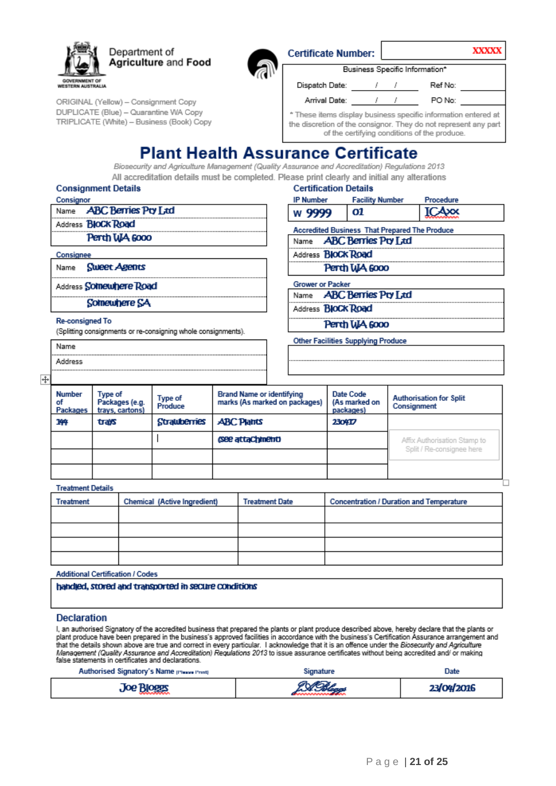



ORIGINAL (Yellow) - Consignment Copy DUPLICATE (Blue) - Quarantine WA Copy TRIPLICATE (White) - Business (Book) Copy

| <b>Certificate Number:</b>                                                                                                                                                        |  |  | XXXXXX                         |  |  |
|-----------------------------------------------------------------------------------------------------------------------------------------------------------------------------------|--|--|--------------------------------|--|--|
|                                                                                                                                                                                   |  |  | Business Specific Information* |  |  |
| Dispatch Date:                                                                                                                                                                    |  |  | Ref No:                        |  |  |
| Arrival Date:                                                                                                                                                                     |  |  | PO No:                         |  |  |
| * These items display business specific information entered at<br>the discretion of the consignor. They do not represent any part<br>of the certifying conditions of the produce. |  |  |                                |  |  |

Procedure ICAxx

## **Plant Health Assurance Certificate**

Biosecurity and Agriculture Management (Quality Assurance and Accreditation) Regulations 2013 All accreditation details must be completed. Please print clearly and initial any alterations

#### **Consignment Details**

**Certification Details IP Number Facility Number** 

| CONSIGNOR |                                 |
|-----------|---------------------------------|
|           | Name <b>ABC Berries Pry Ltd</b> |
|           | Address <b>BloCk Road</b>       |
|           | Perth WA 6000                   |
| Consignee |                                 |
|           | Name Slueet Agents              |

Address Somewhere Road

Somewhere SA

#### **Re-consigned To**

Name Address

(Splitting consignments or re-consigning whole consignments).

#### 01 w 9999

**Accredited Business That Prepared The Produce ABC Berries Pry Ltd** Name

Address **BIOCK Road** 

### Perth WA 6000

**Grower or Packer** 

**ABC Berries Pry Ltd** Name

Address **BloCk Road** 

Perth WA 6000

**Other Facilities Supplying Produce** 

#### $\ddot{}$

| <b>Number</b><br>οf<br>Packages | Type of<br>Packages (e.g.<br>trays, cartons) | Type of<br>Produce | <b>Brand Name or identifying</b><br>marks (As marked on packages) | Date Code<br>(As marked on<br>packages) | <b>Authorisation for Split</b><br>Consignment             |  |
|---------------------------------|----------------------------------------------|--------------------|-------------------------------------------------------------------|-----------------------------------------|-----------------------------------------------------------|--|
| 144                             | trays                                        | Strawberries       | <b>ABC Plants</b>                                                 | 230417                                  |                                                           |  |
|                                 |                                              |                    | (See attachment)                                                  |                                         | Affix Authorisation Stamp to<br>Split / Re-consignee here |  |
|                                 |                                              |                    |                                                                   |                                         |                                                           |  |
|                                 |                                              |                    |                                                                   |                                         |                                                           |  |

#### **Treatment Details**

| Treatment | Chemical (Active Ingredient) | <b>Treatment Date</b> | <b>Concentration / Duration and Temperature</b> |  |  |  |  |
|-----------|------------------------------|-----------------------|-------------------------------------------------|--|--|--|--|
|           |                              |                       |                                                 |  |  |  |  |
|           |                              |                       |                                                 |  |  |  |  |
|           |                              |                       |                                                 |  |  |  |  |
|           |                              |                       |                                                 |  |  |  |  |

#### **Additional Certification / Codes**

#### handled, stored and transported in secure conditions

#### **Declaration**

I, an authorised Signatory of the accredited business that prepared the plants or plant produce described above, hereby declare that the plants or plant produce have been prepared in the business's approved facilities in accordance with the business's Certification Assurance arrangement and<br>that the details shown above are true and correct in every particular. I ackn false statements in certificates and declarations.

| Authorised Signatory's Name pressurement | signature  | Date       |
|------------------------------------------|------------|------------|
| <b>Joe Bloggs</b>                        | 9 S. Palem | 23/04/2016 |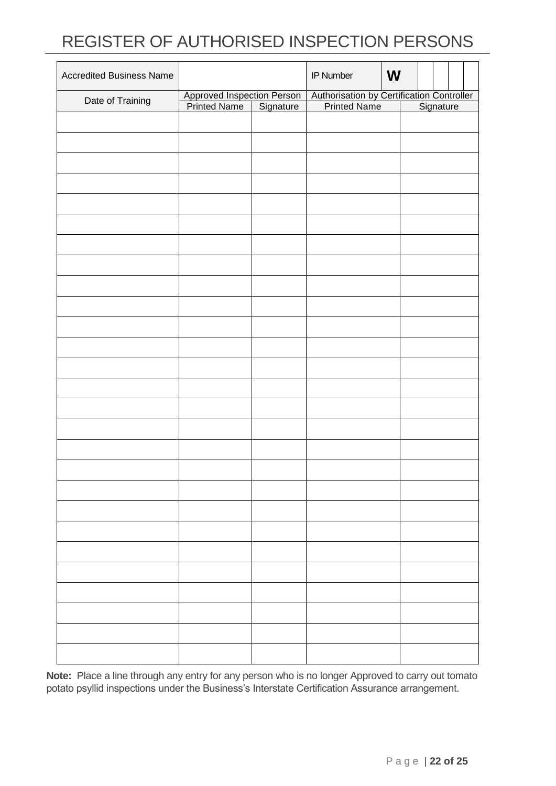# REGISTER OF AUTHORISED INSPECTION PERSONS

| <b>Accredited Business Name</b> |                                                      |  | IP Number | W |                                                                     |  |  |
|---------------------------------|------------------------------------------------------|--|-----------|---|---------------------------------------------------------------------|--|--|
|                                 | Approved Inspection Person<br>Printed Name Signature |  |           |   | Authorisation by Certification Controller<br>Printed Name Signature |  |  |
| Date of Training                |                                                      |  |           |   |                                                                     |  |  |
|                                 |                                                      |  |           |   |                                                                     |  |  |
|                                 |                                                      |  |           |   |                                                                     |  |  |
|                                 |                                                      |  |           |   |                                                                     |  |  |
|                                 |                                                      |  |           |   |                                                                     |  |  |
|                                 |                                                      |  |           |   |                                                                     |  |  |
|                                 |                                                      |  |           |   |                                                                     |  |  |
|                                 |                                                      |  |           |   |                                                                     |  |  |
|                                 |                                                      |  |           |   |                                                                     |  |  |
|                                 |                                                      |  |           |   |                                                                     |  |  |
|                                 |                                                      |  |           |   |                                                                     |  |  |
|                                 |                                                      |  |           |   |                                                                     |  |  |
|                                 |                                                      |  |           |   |                                                                     |  |  |
|                                 |                                                      |  |           |   |                                                                     |  |  |
|                                 |                                                      |  |           |   |                                                                     |  |  |
|                                 |                                                      |  |           |   |                                                                     |  |  |
|                                 |                                                      |  |           |   |                                                                     |  |  |
|                                 |                                                      |  |           |   |                                                                     |  |  |
|                                 |                                                      |  |           |   |                                                                     |  |  |
|                                 |                                                      |  |           |   |                                                                     |  |  |
|                                 |                                                      |  |           |   |                                                                     |  |  |
|                                 |                                                      |  |           |   |                                                                     |  |  |
|                                 |                                                      |  |           |   |                                                                     |  |  |
|                                 |                                                      |  |           |   |                                                                     |  |  |
|                                 |                                                      |  |           |   |                                                                     |  |  |
|                                 |                                                      |  |           |   |                                                                     |  |  |
|                                 |                                                      |  |           |   |                                                                     |  |  |
|                                 |                                                      |  |           |   |                                                                     |  |  |
|                                 |                                                      |  |           |   |                                                                     |  |  |
|                                 |                                                      |  |           |   |                                                                     |  |  |
|                                 |                                                      |  |           |   |                                                                     |  |  |
|                                 |                                                      |  |           |   |                                                                     |  |  |
|                                 |                                                      |  |           |   |                                                                     |  |  |
|                                 |                                                      |  |           |   |                                                                     |  |  |
|                                 |                                                      |  |           |   |                                                                     |  |  |
|                                 |                                                      |  |           |   |                                                                     |  |  |
|                                 |                                                      |  |           |   |                                                                     |  |  |
|                                 |                                                      |  |           |   |                                                                     |  |  |
|                                 |                                                      |  |           |   |                                                                     |  |  |
|                                 |                                                      |  |           |   |                                                                     |  |  |
|                                 |                                                      |  |           |   |                                                                     |  |  |
|                                 |                                                      |  |           |   |                                                                     |  |  |
|                                 |                                                      |  |           |   |                                                                     |  |  |
|                                 |                                                      |  |           |   |                                                                     |  |  |
|                                 |                                                      |  |           |   |                                                                     |  |  |
|                                 |                                                      |  |           |   |                                                                     |  |  |
|                                 |                                                      |  |           |   |                                                                     |  |  |
|                                 |                                                      |  |           |   |                                                                     |  |  |
|                                 |                                                      |  |           |   |                                                                     |  |  |

**Note:** Place a line through any entry for any person who is no longer Approved to carry out tomato potato psyllid inspections under the Business's Interstate Certification Assurance arrangement.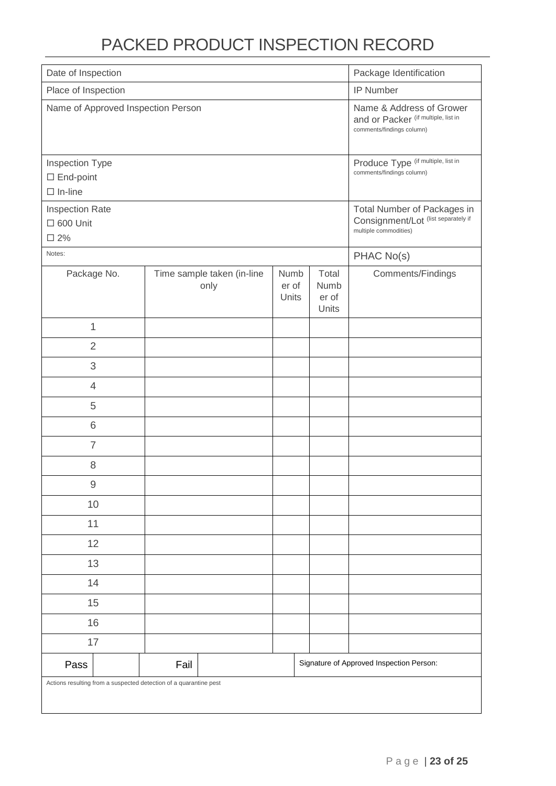# PACKED PRODUCT INSPECTION RECORD

| Date of Inspection                                                |      |                                    |                        | Package Identification                                                                      |                                                                                              |                   |
|-------------------------------------------------------------------|------|------------------------------------|------------------------|---------------------------------------------------------------------------------------------|----------------------------------------------------------------------------------------------|-------------------|
| Place of Inspection                                               |      |                                    |                        | IP Number                                                                                   |                                                                                              |                   |
| Name of Approved Inspection Person                                |      |                                    |                        |                                                                                             | Name & Address of Grower<br>and or Packer (if multiple, list in<br>comments/findings column) |                   |
| Inspection Type<br>$\Box$ End-point<br>$\Box$ In-line             |      |                                    |                        |                                                                                             | Produce Type (if multiple, list in<br>comments/findings column)                              |                   |
| Inspection Rate<br>$\square$ 600 Unit<br>$\square$ 2%             |      |                                    |                        | Total Number of Packages in<br>Consignment/Lot (list separately if<br>multiple commodities) |                                                                                              |                   |
| Notes:                                                            |      |                                    |                        |                                                                                             |                                                                                              | PHAC No(s)        |
| Package No.                                                       |      | Time sample taken (in-line<br>only | Numb<br>er of<br>Units |                                                                                             | Total<br>Numb<br>er of<br>Units                                                              | Comments/Findings |
| 1                                                                 |      |                                    |                        |                                                                                             |                                                                                              |                   |
| $\overline{2}$                                                    |      |                                    |                        |                                                                                             |                                                                                              |                   |
| 3                                                                 |      |                                    |                        |                                                                                             |                                                                                              |                   |
| $\overline{4}$                                                    |      |                                    |                        |                                                                                             |                                                                                              |                   |
| 5                                                                 |      |                                    |                        |                                                                                             |                                                                                              |                   |
| 6                                                                 |      |                                    |                        |                                                                                             |                                                                                              |                   |
| $\overline{7}$                                                    |      |                                    |                        |                                                                                             |                                                                                              |                   |
| $\,8\,$                                                           |      |                                    |                        |                                                                                             |                                                                                              |                   |
| 9                                                                 |      |                                    |                        |                                                                                             |                                                                                              |                   |
| 10                                                                |      |                                    |                        |                                                                                             |                                                                                              |                   |
| 11                                                                |      |                                    |                        |                                                                                             |                                                                                              |                   |
| 12                                                                |      |                                    |                        |                                                                                             |                                                                                              |                   |
| 13                                                                |      |                                    |                        |                                                                                             |                                                                                              |                   |
| 14                                                                |      |                                    |                        |                                                                                             |                                                                                              |                   |
| 15                                                                |      |                                    |                        |                                                                                             |                                                                                              |                   |
| 16                                                                |      |                                    |                        |                                                                                             |                                                                                              |                   |
| 17                                                                |      |                                    |                        |                                                                                             |                                                                                              |                   |
| Pass                                                              | Fail |                                    |                        |                                                                                             | Signature of Approved Inspection Person:                                                     |                   |
| Actions resulting from a suspected detection of a quarantine pest |      |                                    |                        |                                                                                             |                                                                                              |                   |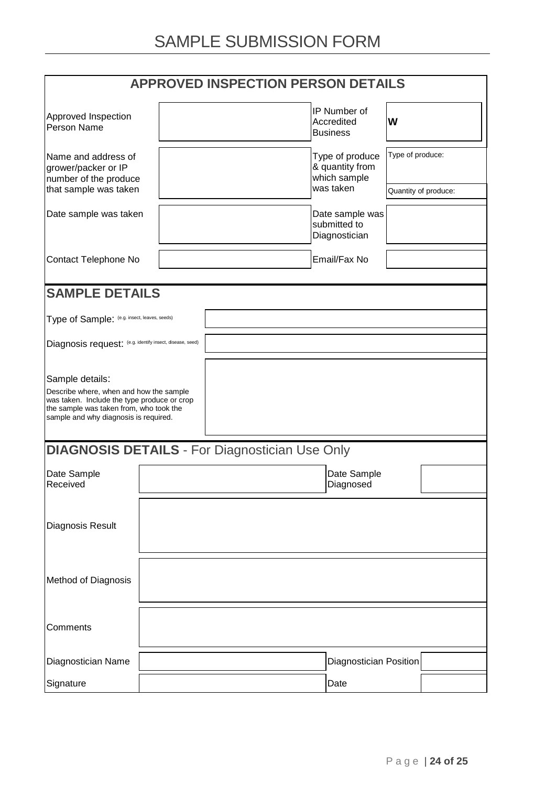| <b>APPROVED INSPECTION PERSON DETAILS</b>                                                                                                                                                     |                                                    |                                                       |                                                  |                      |  |  |
|-----------------------------------------------------------------------------------------------------------------------------------------------------------------------------------------------|----------------------------------------------------|-------------------------------------------------------|--------------------------------------------------|----------------------|--|--|
| Approved Inspection<br>Person Name                                                                                                                                                            |                                                    |                                                       | IP Number of<br>Accredited<br><b>Business</b>    | W                    |  |  |
| Name and address of<br>grower/packer or IP<br>number of the produce                                                                                                                           | Type of produce<br>& quantity from<br>which sample |                                                       |                                                  | Type of produce:     |  |  |
| that sample was taken                                                                                                                                                                         |                                                    |                                                       | was taken                                        | Quantity of produce: |  |  |
| Date sample was taken                                                                                                                                                                         |                                                    |                                                       | Date sample was<br>submitted to<br>Diagnostician |                      |  |  |
| Contact Telephone No                                                                                                                                                                          |                                                    |                                                       | Email/Fax No                                     |                      |  |  |
| <b>SAMPLE DETAILS</b>                                                                                                                                                                         |                                                    |                                                       |                                                  |                      |  |  |
| Type of Sample: (e.g. insect, leaves, seeds)                                                                                                                                                  |                                                    |                                                       |                                                  |                      |  |  |
| Diagnosis request: (e.g. identify insect, disease, seed)                                                                                                                                      |                                                    |                                                       |                                                  |                      |  |  |
| Sample details:<br>Describe where, when and how the sample<br>was taken. Include the type produce or crop<br>the sample was taken from, who took the<br>sample and why diagnosis is required. |                                                    |                                                       |                                                  |                      |  |  |
|                                                                                                                                                                                               |                                                    | <b>DIAGNOSIS DETAILS - For Diagnostician Use Only</b> |                                                  |                      |  |  |
| Date Sample<br>Received                                                                                                                                                                       |                                                    |                                                       | Date Sample<br>Diagnosed                         |                      |  |  |
| Diagnosis Result                                                                                                                                                                              |                                                    |                                                       |                                                  |                      |  |  |
| Method of Diagnosis                                                                                                                                                                           |                                                    |                                                       |                                                  |                      |  |  |
| Comments                                                                                                                                                                                      |                                                    |                                                       |                                                  |                      |  |  |
| Diagnostician Name                                                                                                                                                                            |                                                    |                                                       | <b>Diagnostician Position</b>                    |                      |  |  |
| Signature                                                                                                                                                                                     |                                                    |                                                       | Date                                             |                      |  |  |